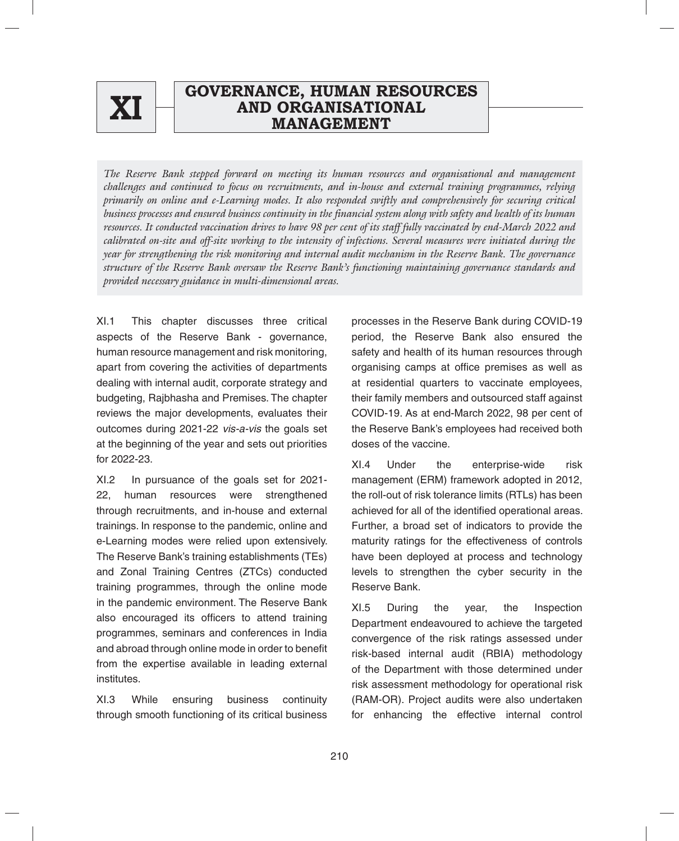

# **ANNUAL REPORT 2021-22 GOVERNANCE, HUMAN RESOURCES AND ORGANISATIONAL XI MANAGEMENT**

*The Reserve Bank stepped forward on meeting its human resources and organisational and management challenges and continued to focus on recruitments, and in-house and external training programmes, relying primarily on online and e-Learning modes. It also responded swiftly and comprehensively for securing critical business processes and ensured business continuity in the financial system along with safety and health of its human resources. It conducted vaccination drives to have 98 per cent of its staff fully vaccinated by end-March 2022 and calibrated on-site and off-site working to the intensity of infections. Several measures were initiated during the year for strengthening the risk monitoring and internal audit mechanism in the Reserve Bank. The governance structure of the Reserve Bank oversaw the Reserve Bank's functioning maintaining governance standards and provided necessary guidance in multi-dimensional areas.* 

XI.1 This chapter discusses three critical aspects of the Reserve Bank - governance, human resource management and risk monitoring, apart from covering the activities of departments dealing with internal audit, corporate strategy and budgeting, Rajbhasha and Premises. The chapter reviews the major developments, evaluates their outcomes during 2021-22 *vis-a-vis* the goals set at the beginning of the year and sets out priorities for 2022-23.

XI.2 In pursuance of the goals set for 2021- 22, human resources were strengthened through recruitments, and in-house and external trainings. In response to the pandemic, online and e-Learning modes were relied upon extensively. The Reserve Bank's training establishments (TEs) and Zonal Training Centres (ZTCs) conducted training programmes, through the online mode in the pandemic environment. The Reserve Bank also encouraged its officers to attend training programmes, seminars and conferences in India and abroad through online mode in order to benefit from the expertise available in leading external institutes.

XI.3 While ensuring business continuity through smooth functioning of its critical business processes in the Reserve Bank during COVID-19 period, the Reserve Bank also ensured the safety and health of its human resources through organising camps at office premises as well as at residential quarters to vaccinate employees, their family members and outsourced staff against COVID-19. As at end-March 2022, 98 per cent of the Reserve Bank's employees had received both doses of the vaccine.

XI.4 Under the enterprise-wide risk management (ERM) framework adopted in 2012, the roll-out of risk tolerance limits (RTLs) has been achieved for all of the identified operational areas. Further, a broad set of indicators to provide the maturity ratings for the effectiveness of controls have been deployed at process and technology levels to strengthen the cyber security in the Reserve Bank.

XI.5 During the year, the Inspection Department endeavoured to achieve the targeted convergence of the risk ratings assessed under risk-based internal audit (RBIA) methodology of the Department with those determined under risk assessment methodology for operational risk (RAM-OR). Project audits were also undertaken for enhancing the effective internal control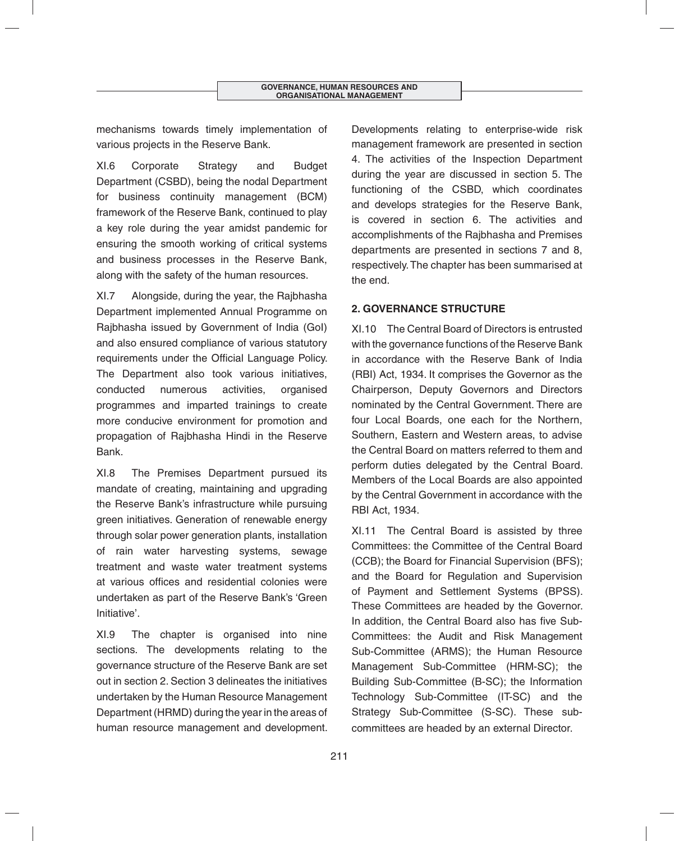mechanisms towards timely implementation of various projects in the Reserve Bank.

XI.6 Corporate Strategy and Budget Department (CSBD), being the nodal Department for business continuity management (BCM) framework of the Reserve Bank, continued to play a key role during the year amidst pandemic for ensuring the smooth working of critical systems and business processes in the Reserve Bank, along with the safety of the human resources.

XI.7 Alongside, during the year, the Rajbhasha Department implemented Annual Programme on Rajbhasha issued by Government of India (GoI) and also ensured compliance of various statutory requirements under the Official Language Policy. The Department also took various initiatives, conducted numerous activities, organised programmes and imparted trainings to create more conducive environment for promotion and propagation of Rajbhasha Hindi in the Reserve Bank.

XI.8 The Premises Department pursued its mandate of creating, maintaining and upgrading the Reserve Bank's infrastructure while pursuing green initiatives. Generation of renewable energy through solar power generation plants, installation of rain water harvesting systems, sewage treatment and waste water treatment systems at various offices and residential colonies were undertaken as part of the Reserve Bank's 'Green Initiative'.

XI.9 The chapter is organised into nine sections. The developments relating to the governance structure of the Reserve Bank are set out in section 2. Section 3 delineates the initiatives undertaken by the Human Resource Management Department (HRMD) during the year in the areas of human resource management and development.

Developments relating to enterprise-wide risk management framework are presented in section 4. The activities of the Inspection Department during the year are discussed in section 5. The functioning of the CSBD, which coordinates and develops strategies for the Reserve Bank, is covered in section 6. The activities and accomplishments of the Rajbhasha and Premises departments are presented in sections 7 and 8, respectively. The chapter has been summarised at the end.

# **2. GOVERNANCE STRUCTURE**

XI.10 The Central Board of Directors is entrusted with the governance functions of the Reserve Bank in accordance with the Reserve Bank of India (RBI) Act, 1934. It comprises the Governor as the Chairperson, Deputy Governors and Directors nominated by the Central Government. There are four Local Boards, one each for the Northern, Southern, Eastern and Western areas, to advise the Central Board on matters referred to them and perform duties delegated by the Central Board. Members of the Local Boards are also appointed by the Central Government in accordance with the RBI Act, 1934.

XI.11 The Central Board is assisted by three Committees: the Committee of the Central Board (CCB); the Board for Financial Supervision (BFS); and the Board for Regulation and Supervision of Payment and Settlement Systems (BPSS). These Committees are headed by the Governor. In addition, the Central Board also has five Sub-Committees: the Audit and Risk Management Sub-Committee (ARMS); the Human Resource Management Sub-Committee (HRM-SC); the Building Sub-Committee (B-SC); the Information Technology Sub-Committee (IT-SC) and the Strategy Sub-Committee (S-SC). These subcommittees are headed by an external Director.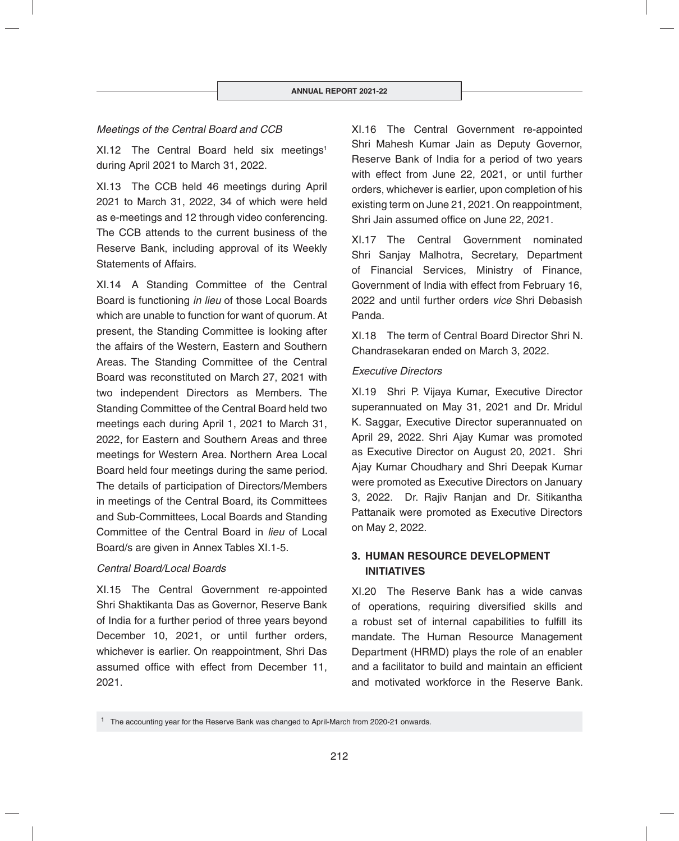## *Meetings of the Central Board and CCB*

XI.12 The Central Board held six meetings<sup>1</sup> during April 2021 to March 31, 2022.

XI.13 The CCB held 46 meetings during April 2021 to March 31, 2022, 34 of which were held as e-meetings and 12 through video conferencing. The CCB attends to the current business of the Reserve Bank, including approval of its Weekly Statements of Affairs.

XI.14 A Standing Committee of the Central Board is functioning *in lieu* of those Local Boards which are unable to function for want of quorum. At present, the Standing Committee is looking after the affairs of the Western, Eastern and Southern Areas. The Standing Committee of the Central Board was reconstituted on March 27, 2021 with two independent Directors as Members. The Standing Committee of the Central Board held two meetings each during April 1, 2021 to March 31, 2022, for Eastern and Southern Areas and three meetings for Western Area. Northern Area Local Board held four meetings during the same period. The details of participation of Directors/Members in meetings of the Central Board, its Committees and Sub-Committees, Local Boards and Standing Committee of the Central Board in *lieu* of Local Board/s are given in Annex Tables XI.1-5.

## *Central Board/Local Boards*

XI.15 The Central Government re-appointed Shri Shaktikanta Das as Governor, Reserve Bank of India for a further period of three years beyond December 10, 2021, or until further orders, whichever is earlier. On reappointment, Shri Das assumed office with effect from December 11. 2021.

XI.16 The Central Government re-appointed Shri Mahesh Kumar Jain as Deputy Governor, Reserve Bank of India for a period of two years with effect from June 22, 2021, or until further orders, whichever is earlier, upon completion of his existing term on June 21, 2021. On reappointment, Shri Jain assumed office on June 22, 2021.

XI.17 The Central Government nominated Shri Sanjay Malhotra, Secretary, Department of Financial Services, Ministry of Finance, Government of India with effect from February 16, 2022 and until further orders *vice* Shri Debasish Panda.

XI.18 The term of Central Board Director Shri N. Chandrasekaran ended on March 3, 2022.

## *Executive Directors*

XI.19 Shri P. Vijaya Kumar, Executive Director superannuated on May 31, 2021 and Dr. Mridul K. Saggar, Executive Director superannuated on April 29, 2022. Shri Ajay Kumar was promoted as Executive Director on August 20, 2021. Shri Ajay Kumar Choudhary and Shri Deepak Kumar were promoted as Executive Directors on January 3, 2022. Dr. Rajiv Ranjan and Dr. Sitikantha Pattanaik were promoted as Executive Directors on May 2, 2022.

# **3. HUMAN RESOURCE DEVELOPMENT INITIATIVES**

XI.20 The Reserve Bank has a wide canvas of operations, requiring diversified skills and a robust set of internal capabilities to fulfill its mandate. The Human Resource Management Department (HRMD) plays the role of an enabler and a facilitator to build and maintain an efficient and motivated workforce in the Reserve Bank.

<sup>&</sup>lt;sup>1</sup> The accounting year for the Reserve Bank was changed to April-March from 2020-21 onwards.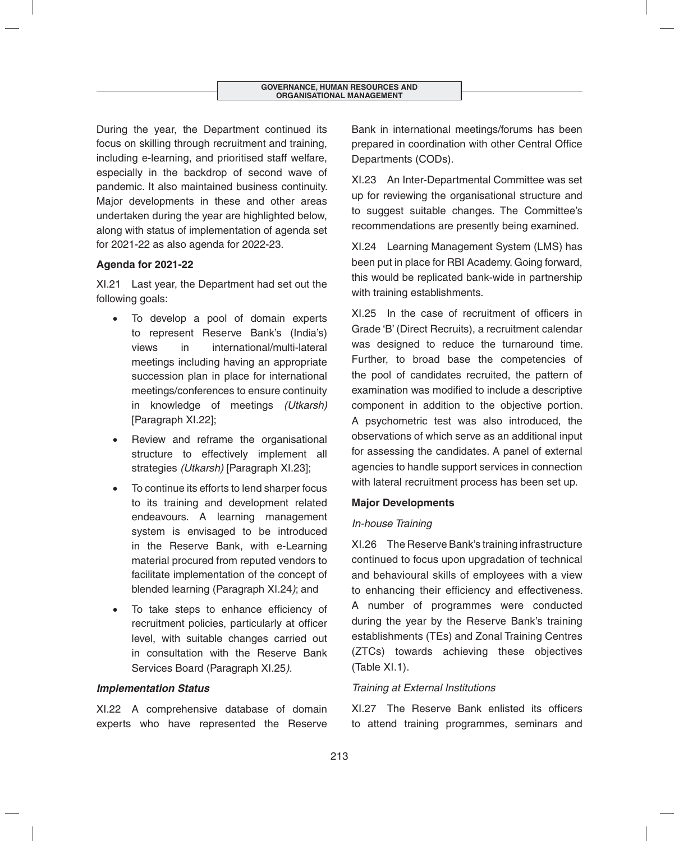During the year, the Department continued its focus on skilling through recruitment and training, including e-learning, and prioritised staff welfare, especially in the backdrop of second wave of pandemic. It also maintained business continuity. Major developments in these and other areas undertaken during the year are highlighted below, along with status of implementation of agenda set for 2021-22 as also agenda for 2022-23.

## **Agenda for 2021-22**

XI.21 Last year, the Department had set out the following goals:

- To develop a pool of domain experts to represent Reserve Bank's (India's) views in international/multi-lateral meetings including having an appropriate succession plan in place for international meetings/conferences to ensure continuity in knowledge of meetings *(Utkarsh)*  [Paragraph XI.22];
- Review and reframe the organisational structure to effectively implement all strategies *(Utkarsh)* [Paragraph XI.23];
- To continue its efforts to lend sharper focus to its training and development related endeavours. A learning management system is envisaged to be introduced in the Reserve Bank, with e-Learning material procured from reputed vendors to facilitate implementation of the concept of blended learning (Paragraph XI.24*)*; and
- To take steps to enhance efficiency of recruitment policies, particularly at officer level, with suitable changes carried out in consultation with the Reserve Bank Services Board (Paragraph XI.25*)*.

## *Implementation Status*

XI.22 A comprehensive database of domain experts who have represented the Reserve

Bank in international meetings/forums has been prepared in coordination with other Central Office Departments (CODs).

XI.23 An Inter-Departmental Committee was set up for reviewing the organisational structure and to suggest suitable changes. The Committee's recommendations are presently being examined.

XI.24 Learning Management System (LMS) has been put in place for RBI Academy. Going forward, this would be replicated bank-wide in partnership with training establishments.

XI.25 In the case of recruitment of officers in Grade 'B' (Direct Recruits), a recruitment calendar was designed to reduce the turnaround time. Further, to broad base the competencies of the pool of candidates recruited, the pattern of examination was modified to include a descriptive component in addition to the objective portion. A psychometric test was also introduced, the observations of which serve as an additional input for assessing the candidates. A panel of external agencies to handle support services in connection with lateral recruitment process has been set up.

## **Major Developments**

## *In-house Training*

XI.26 The Reserve Bank's training infrastructure continued to focus upon upgradation of technical and behavioural skills of employees with a view to enhancing their efficiency and effectiveness. A number of programmes were conducted during the year by the Reserve Bank's training establishments (TEs) and Zonal Training Centres (ZTCs) towards achieving these objectives (Table XI.1).

## *Training at External Institutions*

XI.27 The Reserve Bank enlisted its officers to attend training programmes, seminars and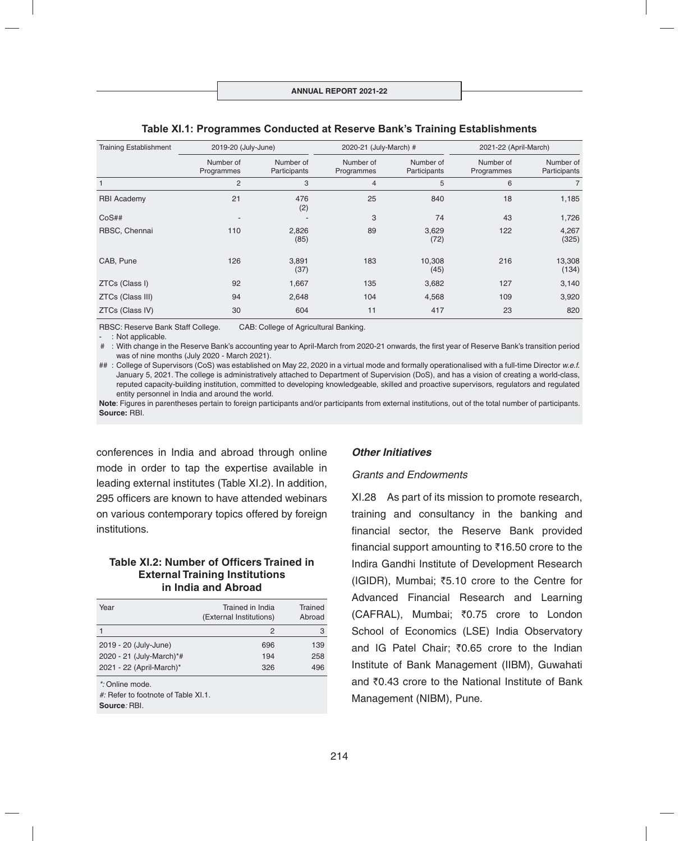| <b>Training Establishment</b> | 2019-20 (July-June)     |                           | 2020-21 (July-March) #  |                           | 2021-22 (April-March)   |                           |
|-------------------------------|-------------------------|---------------------------|-------------------------|---------------------------|-------------------------|---------------------------|
|                               | Number of<br>Programmes | Number of<br>Participants | Number of<br>Programmes | Number of<br>Participants | Number of<br>Programmes | Number of<br>Participants |
|                               | 2                       | 3                         | $\overline{4}$          | 5                         | 6                       | $\overline{7}$            |
| <b>RBI Academy</b>            | 21                      | 476<br>(2)                | 25                      | 840                       | 18                      | 1,185                     |
| CoS##                         |                         | $\overline{\phantom{a}}$  | 3                       | 74                        | 43                      | 1,726                     |
| RBSC, Chennai                 | 110                     | 2,826<br>(85)             | 89                      | 3,629<br>(72)             | 122                     | 4,267<br>(325)            |
| CAB, Pune                     | 126                     | 3,891<br>(37)             | 183                     | 10,308<br>(45)            | 216                     | 13,308<br>(134)           |
| ZTCs (Class I)                | 92                      | 1,667                     | 135                     | 3,682                     | 127                     | 3,140                     |
| ZTCs (Class III)              | 94                      | 2,648                     | 104                     | 4,568                     | 109                     | 3,920                     |
| ZTCs (Class IV)               | 30                      | 604                       | 11                      | 417                       | 23                      | 820                       |

#### **Table XI.1: Programmes Conducted at Reserve Bank's Training Establishments**

RBSC: Reserve Bank Staff College. CAB: College of Agricultural Banking.

: Not applicable.

# : With change in the Reserve Bank's accounting year to April-March from 2020-21 onwards, the first year of Reserve Bank's transition period was of nine months (July 2020 - March 2021).

## : College of Supervisors (CoS) was established on May 22, 2020 in a virtual mode and formally operationalised with a full-time Director *w.e.f.* January 5, 2021. The college is administratively attached to Department of Supervision (DoS), and has a vision of creating a world-class, reputed capacity-building institution, committed to developing knowledgeable, skilled and proactive supervisors, regulators and regulated entity personnel in India and around the world.

Note: Figures in parentheses pertain to foreign participants and/or participants from external institutions, out of the total number of participants. **Source:** RBI.

conferences in India and abroad through online mode in order to tap the expertise available in leading external institutes (Table XI.2). In addition, 295 officers are known to have attended webinars on various contemporary topics offered by foreign institutions.

#### **Table XI.2: Number of Officers Trained in External Training Institutions in India and Abroad**

| Year                     | Trained in India<br>(External Institutions) | Trained<br>Abroad |
|--------------------------|---------------------------------------------|-------------------|
|                          | 2                                           | 3                 |
| 2019 - 20 (July-June)    | 696                                         | 139               |
| 2020 - 21 (July-March)*# | 194                                         | 258               |
| 2021 - 22 (April-March)* | 326                                         | 496               |

*\*:* Online mode.

*#:* Refer to footnote of Table XI.1.

**Source***:* RBI.

#### *Other Initiatives*

#### *Grants and Endowments*

XI.28 As part of its mission to promote research, training and consultancy in the banking and financial sector, the Reserve Bank provided financial support amounting to  $\bar{\tau}$ 16.50 crore to the Indira Gandhi Institute of Development Research  $(IGIDR)$ , Mumbai;  $\overline{55.10}$  crore to the Centre for Advanced Financial Research and Learning (CAFRAL), Mumbai; ₹0.75 crore to London School of Economics (LSE) India Observatory and IG Patel Chair; ₹0.65 crore to the Indian Institute of Bank Management (IIBM), Guwahati and  $\bar{z}$ 0.43 crore to the National Institute of Bank Management (NIBM), Pune.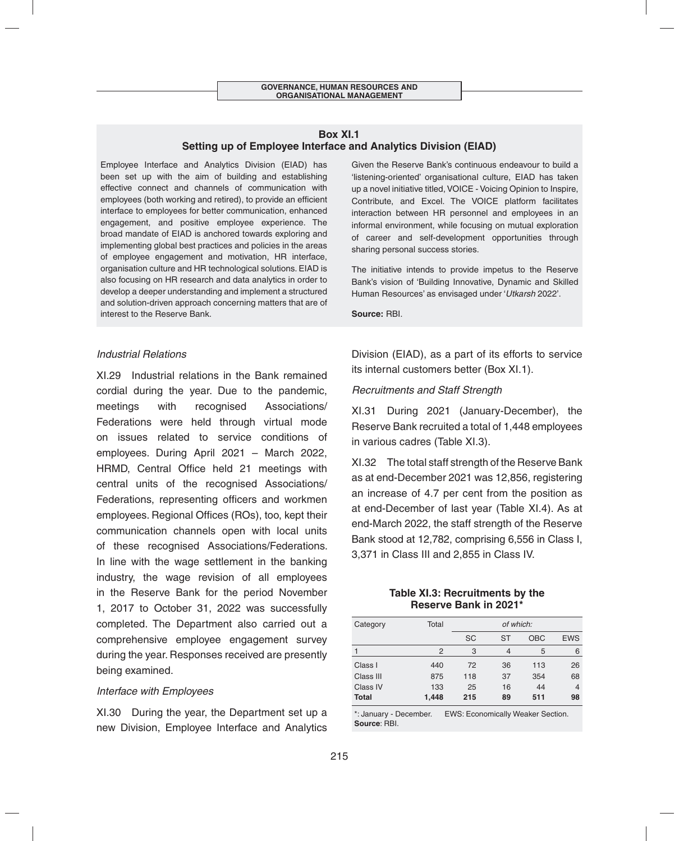#### **Box XI.1 Setting up of Employee Interface and Analytics Division (EIAD)**

Employee Interface and Analytics Division (EIAD) has been set up with the aim of building and establishing effective connect and channels of communication with employees (both working and retired), to provide an efficient interface to employees for better communication, enhanced engagement, and positive employee experience. The broad mandate of EIAD is anchored towards exploring and implementing global best practices and policies in the areas of employee engagement and motivation, HR interface, organisation culture and HR technological solutions. EIAD is also focusing on HR research and data analytics in order to develop a deeper understanding and implement a structured and solution-driven approach concerning matters that are of interest to the Reserve Bank.

#### *Industrial Relations*

XI.29 Industrial relations in the Bank remained cordial during the year. Due to the pandemic, meetings with recognised Associations/ Federations were held through virtual mode on issues related to service conditions of employees. During April 2021 – March 2022, HRMD, Central Office held 21 meetings with central units of the recognised Associations/ Federations, representing officers and workmen employees. Regional Offices (ROs), too, kept their communication channels open with local units of these recognised Associations/Federations. In line with the wage settlement in the banking industry, the wage revision of all employees in the Reserve Bank for the period November 1, 2017 to October 31, 2022 was successfully completed. The Department also carried out a comprehensive employee engagement survey during the year. Responses received are presently being examined.

#### *Interface with Employees*

XI.30 During the year, the Department set up a new Division, Employee Interface and Analytics Given the Reserve Bank's continuous endeavour to build a 'listening-oriented' organisational culture, EIAD has taken up a novel initiative titled, VOICE - Voicing Opinion to Inspire, Contribute, and Excel. The VOICE platform facilitates interaction between HR personnel and employees in an informal environment, while focusing on mutual exploration of career and self-development opportunities through sharing personal success stories.

The initiative intends to provide impetus to the Reserve Bank's vision of 'Building Innovative, Dynamic and Skilled Human Resources' as envisaged under '*Utkarsh* 2022'.

**Source:** RBI.

Division (EIAD), as a part of its efforts to service its internal customers better (Box XI.1).

#### *Recruitments and Staff Strength*

XI.31 During 2021 (January-December), the Reserve Bank recruited a total of 1,448 employees in various cadres (Table XI.3).

XI.32 The total staff strength of the Reserve Bank as at end-December 2021 was 12,856, registering an increase of 4.7 per cent from the position as at end-December of last year (Table XI.4). As at end-March 2022, the staff strength of the Reserve Bank stood at 12,782, comprising 6,556 in Class I, 3,371 in Class III and 2,855 in Class IV.

> **Table XI.3: Recruitments by the Reserve Bank in 2021\***

| Category     | Total |           | of which: |            |            |
|--------------|-------|-----------|-----------|------------|------------|
|              |       | <b>SC</b> | ST        | <b>OBC</b> | <b>EWS</b> |
|              | 2     | 3         | 4         | 5          | 6          |
| Class I      | 440   | 72        | 36        | 113        | 26         |
| Class III    | 875   | 118       | 37        | 354        | 68         |
| Class IV     | 133   | 25        | 16        | 44         | 4          |
| <b>Total</b> | 1,448 | 215       | 89        | 511        | 98         |

\*: January - December. EWS: Economically Weaker Section. **Source**: RBI.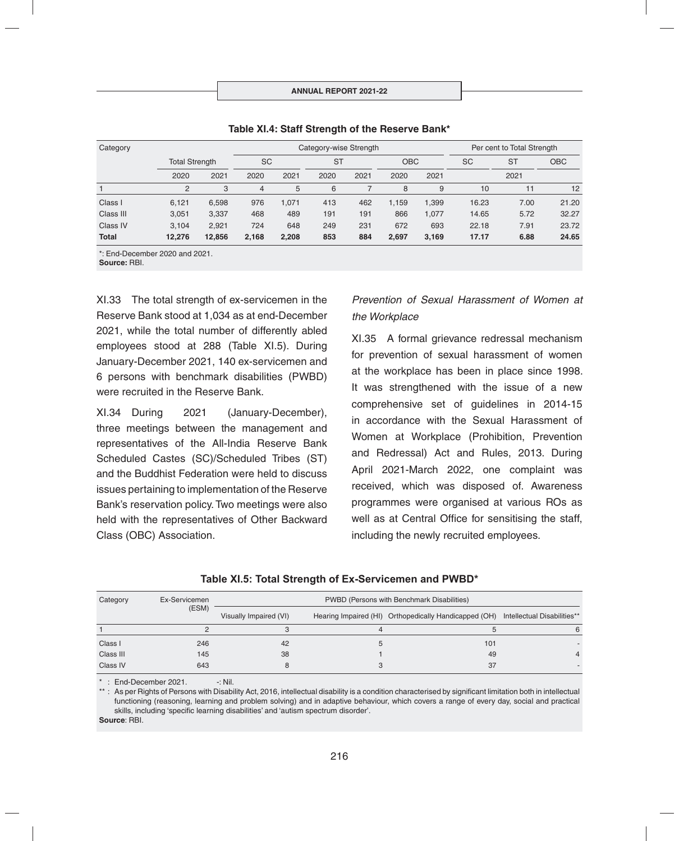| Category     | Category-wise Strength |        |           |       |           | Per cent to Total Strength |            |       |           |           |            |
|--------------|------------------------|--------|-----------|-------|-----------|----------------------------|------------|-------|-----------|-----------|------------|
|              | <b>Total Strength</b>  |        | <b>SC</b> |       | <b>ST</b> |                            | <b>OBC</b> |       | <b>SC</b> | <b>ST</b> | <b>OBC</b> |
|              | 2020                   | 2021   | 2020      | 2021  | 2020      | 2021                       | 2020       | 2021  |           | 2021      |            |
|              | $\overline{2}$         | 3      | 4         | 5     | 6         |                            | 8          | 9     | 10        | 11        | 12         |
| Class I      | 6,121                  | 6,598  | 976       | 1.071 | 413       | 462                        | 1.159      | 1,399 | 16.23     | 7.00      | 21.20      |
| Class III    | 3.051                  | 3,337  | 468       | 489   | 191       | 191                        | 866        | 1.077 | 14.65     | 5.72      | 32.27      |
| Class IV     | 3.104                  | 2,921  | 724       | 648   | 249       | 231                        | 672        | 693   | 22.18     | 7.91      | 23.72      |
| <b>Total</b> | 12.276                 | 12,856 | 2,168     | 2,208 | 853       | 884                        | 2.697      | 3,169 | 17.17     | 6.88      | 24.65      |

#### **Table XI.4: Staff Strength of the Reserve Bank\***

\*: End-December 2020 and 2021.

**Source:** RBI.

XI.33 The total strength of ex-servicemen in the Reserve Bank stood at 1,034 as at end-December 2021, while the total number of differently abled employees stood at 288 (Table XI.5). During January-December 2021, 140 ex-servicemen and 6 persons with benchmark disabilities (PWBD) were recruited in the Reserve Bank.

XI.34 During 2021 (January-December), three meetings between the management and representatives of the All-India Reserve Bank Scheduled Castes (SC)/Scheduled Tribes (ST) and the Buddhist Federation were held to discuss issues pertaining to implementation of the Reserve Bank's reservation policy. Two meetings were also held with the representatives of Other Backward Class (OBC) Association.

# *Prevention of Sexual Harassment of Women at the Workplace*

XI.35 A formal grievance redressal mechanism for prevention of sexual harassment of women at the workplace has been in place since 1998. It was strengthened with the issue of a new comprehensive set of guidelines in 2014-15 in accordance with the Sexual Harassment of Women at Workplace (Prohibition, Prevention and Redressal) Act and Rules, 2013. During April 2021-March 2022, one complaint was received, which was disposed of. Awareness programmes were organised at various ROs as well as at Central Office for sensitising the staff, including the newly recruited employees.

| Table XI.5: Total Strength of Ex-Servicemen and PWBD* |
|-------------------------------------------------------|
|-------------------------------------------------------|

| Category  | Ex-Servicemen | PWBD (Persons with Benchmark Disabilities) |  |                                                                                   |  |  |  |
|-----------|---------------|--------------------------------------------|--|-----------------------------------------------------------------------------------|--|--|--|
|           | (ESM)         | Visually Impaired (VI)                     |  | Hearing Impaired (HI) Orthopedically Handicapped (OH) Intellectual Disabilities** |  |  |  |
|           |               |                                            |  |                                                                                   |  |  |  |
| Class I   | 246           | 42                                         |  | 101                                                                               |  |  |  |
| Class III | 145           | 38                                         |  | 49                                                                                |  |  |  |
| Class IV  | 643           |                                            |  | 37                                                                                |  |  |  |

 $*$ : End-December 2021.  $-$ : Nil.

\*\*: As per Rights of Persons with Disability Act, 2016, intellectual disability is a condition characterised by significant limitation both in intellectual functioning (reasoning, learning and problem solving) and in adaptive behaviour, which covers a range of every day, social and practical skills, including 'specific learning disabilities' and 'autism spectrum disorder'. **Source**: RBI.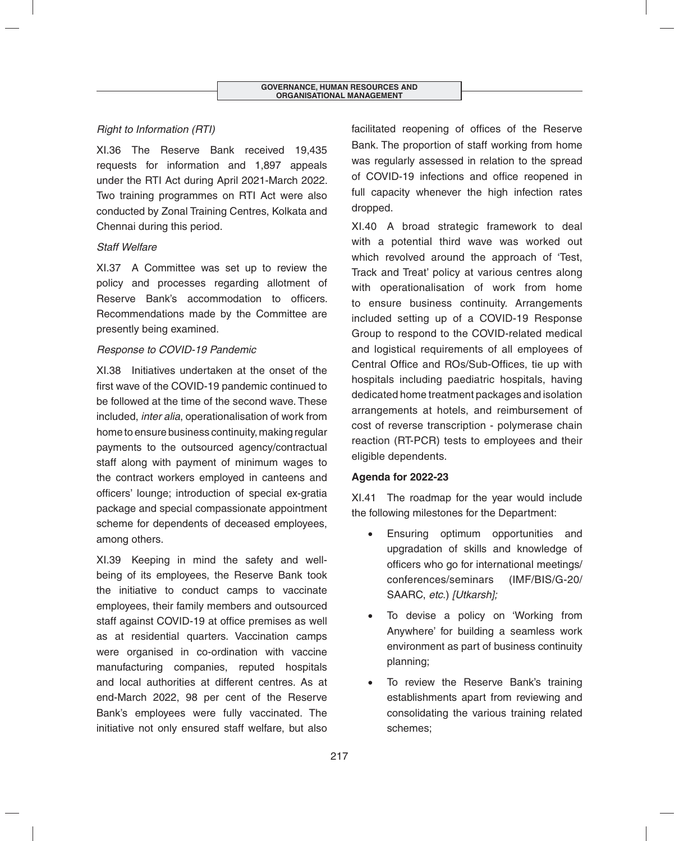# *Right to Information (RTI)*

XI.36 The Reserve Bank received 19,435 requests for information and 1,897 appeals under the RTI Act during April 2021-March 2022. Two training programmes on RTI Act were also conducted by Zonal Training Centres, Kolkata and Chennai during this period.

## *Staff Welfare*

XI.37 A Committee was set up to review the policy and processes regarding allotment of Reserve Bank's accommodation to officers. Recommendations made by the Committee are presently being examined.

## *Response to COVID-19 Pandemic*

XI.38 Initiatives undertaken at the onset of the first wave of the COVID-19 pandemic continued to be followed at the time of the second wave. These included, *inter alia*, operationalisation of work from home to ensure business continuity, making regular payments to the outsourced agency/contractual staff along with payment of minimum wages to the contract workers employed in canteens and officers' lounge; introduction of special ex-gratia package and special compassionate appointment scheme for dependents of deceased employees, among others.

XI.39 Keeping in mind the safety and wellbeing of its employees, the Reserve Bank took the initiative to conduct camps to vaccinate employees, their family members and outsourced staff against COVID-19 at office premises as well as at residential quarters. Vaccination camps were organised in co-ordination with vaccine manufacturing companies, reputed hospitals and local authorities at different centres. As at end-March 2022, 98 per cent of the Reserve Bank's employees were fully vaccinated. The initiative not only ensured staff welfare, but also facilitated reopening of offices of the Reserve Bank. The proportion of staff working from home was regularly assessed in relation to the spread of COVID-19 infections and office reopened in full capacity whenever the high infection rates dropped.

XI.40 A broad strategic framework to deal with a potential third wave was worked out which revolved around the approach of 'Test, Track and Treat' policy at various centres along with operationalisation of work from home to ensure business continuity. Arrangements included setting up of a COVID-19 Response Group to respond to the COVID-related medical and logistical requirements of all employees of Central Office and ROs/Sub-Offices, tie up with hospitals including paediatric hospitals, having dedicated home treatment packages and isolation arrangements at hotels, and reimbursement of cost of reverse transcription - polymerase chain reaction (RT-PCR) tests to employees and their eligible dependents.

## **Agenda for 2022-23**

XI.41 The roadmap for the year would include the following milestones for the Department:

- Ensuring optimum opportunities and upgradation of skills and knowledge of officers who go for international meetings/ conferences/seminars (IMF/BIS/G-20/ SAARC, *etc*.) *[Utkarsh];*
- To devise a policy on 'Working from Anywhere' for building a seamless work environment as part of business continuity planning;
- To review the Reserve Bank's training establishments apart from reviewing and consolidating the various training related schemes;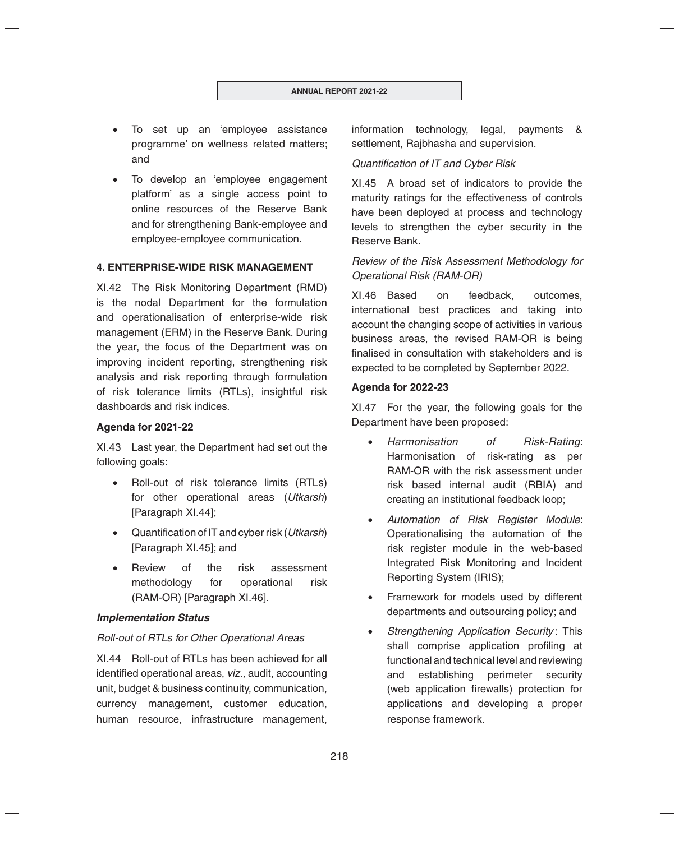- To set up an 'employee assistance programme' on wellness related matters; and
- To develop an 'employee engagement platform' as a single access point to online resources of the Reserve Bank and for strengthening Bank-employee and employee-employee communication.

#### **4. ENTERPRISE-WIDE RISK MANAGEMENT**

XI.42 The Risk Monitoring Department (RMD) is the nodal Department for the formulation and operationalisation of enterprise-wide risk management (ERM) in the Reserve Bank. During the year, the focus of the Department was on improving incident reporting, strengthening risk analysis and risk reporting through formulation of risk tolerance limits (RTLs), insightful risk dashboards and risk indices.

## **Agenda for 2021-22**

XI.43 Last year, the Department had set out the following goals:

- Roll-out of risk tolerance limits (RTLs) for other operational areas (*Utkarsh*) [Paragraph XI.44];
- Quantifi cation of IT and cyber risk (*Utkarsh*) [Paragraph XI.45]; and
- Review of the risk assessment methodology for operational risk (RAM-OR) [Paragraph XI.46].

#### *Implementation Status*

## *Roll-out of RTLs for Other Operational Areas*

XI.44 Roll-out of RTLs has been achieved for all identified operational areas, *viz.*, audit, accounting unit, budget & business continuity, communication, currency management, customer education, human resource, infrastructure management, information technology, legal, payments & settlement, Rajbhasha and supervision.

#### *Quantifi cation of IT and Cyber Risk*

XI.45 A broad set of indicators to provide the maturity ratings for the effectiveness of controls have been deployed at process and technology levels to strengthen the cyber security in the Reserve Bank.

# *Review of the Risk Assessment Methodology for Operational Risk (RAM-OR)*

XI.46 Based on feedback, outcomes, international best practices and taking into account the changing scope of activities in various business areas, the revised RAM-OR is being finalised in consultation with stakeholders and is expected to be completed by September 2022.

#### **Agenda for 2022-23**

XI.47 For the year, the following goals for the Department have been proposed:

- *Harmonisation of Risk-Rating*: Harmonisation of risk-rating as per RAM-OR with the risk assessment under risk based internal audit (RBIA) and creating an institutional feedback loop;
- *Automation of Risk Register Module*: Operationalising the automation of the risk register module in the web-based Integrated Risk Monitoring and Incident Reporting System (IRIS);
- Framework for models used by different departments and outsourcing policy; and
- *Strengthening Application Security* : This shall comprise application profiling at functional and technical level and reviewing and establishing perimeter security (web application firewalls) protection for applications and developing a proper response framework.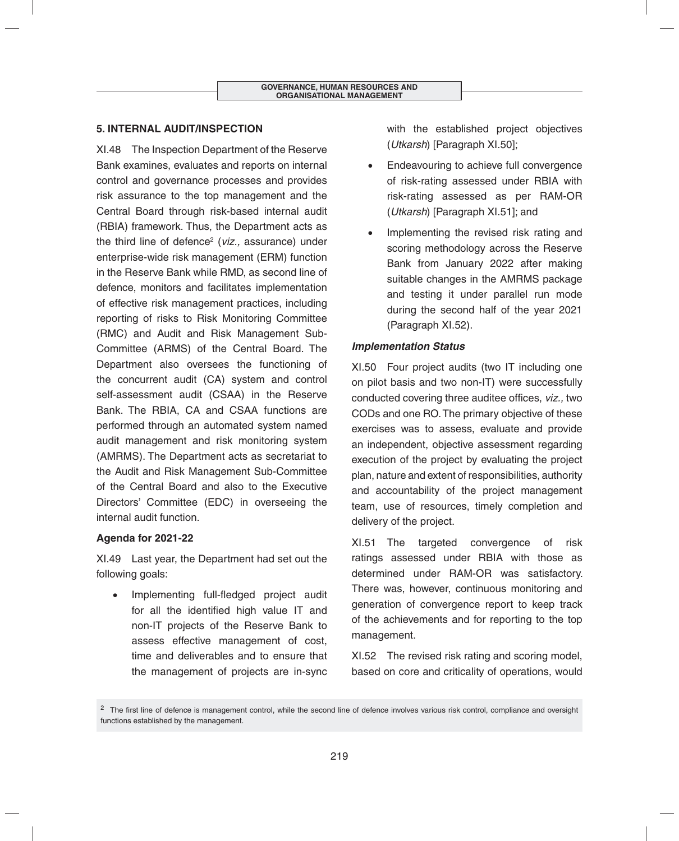## **5. INTERNAL AUDIT/INSPECTION**

XI.48 The Inspection Department of the Reserve Bank examines, evaluates and reports on internal control and governance processes and provides risk assurance to the top management and the Central Board through risk-based internal audit (RBIA) framework. Thus, the Department acts as the third line of defence<sup>2</sup> (viz., assurance) under enterprise-wide risk management (ERM) function in the Reserve Bank while RMD, as second line of defence, monitors and facilitates implementation of effective risk management practices, including reporting of risks to Risk Monitoring Committee (RMC) and Audit and Risk Management Sub-Committee (ARMS) of the Central Board. The Department also oversees the functioning of the concurrent audit (CA) system and control self-assessment audit (CSAA) in the Reserve Bank. The RBIA, CA and CSAA functions are performed through an automated system named audit management and risk monitoring system (AMRMS). The Department acts as secretariat to the Audit and Risk Management Sub-Committee of the Central Board and also to the Executive Directors' Committee (EDC) in overseeing the internal audit function.

## **Agenda for 2021-22**

XI.49 Last year, the Department had set out the following goals:

Implementing full-fledged project audit for all the identified high value IT and non-IT projects of the Reserve Bank to assess effective management of cost, time and deliverables and to ensure that the management of projects are in-sync with the established project objectives (*Utkarsh*) [Paragraph XI.50];

- Endeavouring to achieve full convergence of risk-rating assessed under RBIA with risk-rating assessed as per RAM-OR (*Utkarsh*) [Paragraph XI.51]; and
- Implementing the revised risk rating and scoring methodology across the Reserve Bank from January 2022 after making suitable changes in the AMRMS package and testing it under parallel run mode during the second half of the year 2021 (Paragraph XI.52).

## *Implementation Status*

XI.50 Four project audits (two IT including one on pilot basis and two non-IT) were successfully conducted covering three auditee offices, *viz.*, two CODs and one RO. The primary objective of these exercises was to assess, evaluate and provide an independent, objective assessment regarding execution of the project by evaluating the project plan, nature and extent of responsibilities, authority and accountability of the project management team, use of resources, timely completion and delivery of the project.

XI.51 The targeted convergence of risk ratings assessed under RBIA with those as determined under RAM-OR was satisfactory. There was, however, continuous monitoring and generation of convergence report to keep track of the achievements and for reporting to the top management.

XI.52 The revised risk rating and scoring model, based on core and criticality of operations, would

 $2$  The first line of defence is management control, while the second line of defence involves various risk control, compliance and oversight functions established by the management.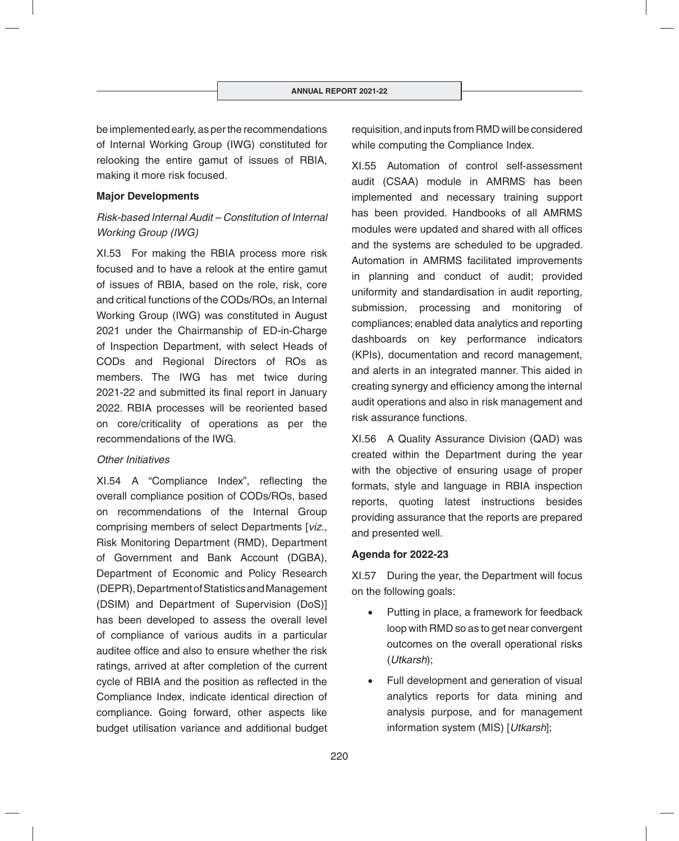be implemented early, as per the recommendations of Internal Working Group (IWG) constituted for relooking the entire gamut of issues of RBIA, making it more risk focused.

#### **Major Developments**

# *Risk-based Internal Audit – Constitution of Internal Working Group (IWG)*

XI.53 For making the RBIA process more risk focused and to have a relook at the entire gamut of issues of RBIA, based on the role, risk, core and critical functions of the CODs/ROs, an Internal Working Group (IWG) was constituted in August 2021 under the Chairmanship of ED-in-Charge of Inspection Department, with select Heads of CODs and Regional Directors of ROs as members. The IWG has met twice during 2021-22 and submitted its final report in January 2022. RBIA processes will be reoriented based on core/criticality of operations as per the recommendations of the IWG.

#### *Other Initiatives*

XI.54 A "Compliance Index", reflecting the overall compliance position of CODs/ROs, based on recommendations of the Internal Group comprising members of select Departments [*viz.,* Risk Monitoring Department (RMD), Department of Government and Bank Account (DGBA), Department of Economic and Policy Research (DEPR), Department of Statistics and Management (DSIM) and Department of Supervision (DoS)] has been developed to assess the overall level of compliance of various audits in a particular auditee office and also to ensure whether the risk ratings, arrived at after completion of the current cycle of RBIA and the position as reflected in the Compliance Index, indicate identical direction of compliance. Going forward, other aspects like budget utilisation variance and additional budget

requisition, and inputs from RMD will be considered while computing the Compliance Index.

XI.55 Automation of control self-assessment audit (CSAA) module in AMRMS has been implemented and necessary training support has been provided. Handbooks of all AMRMS modules were updated and shared with all offices and the systems are scheduled to be upgraded. Automation in AMRMS facilitated improvements in planning and conduct of audit; provided uniformity and standardisation in audit reporting, submission, processing and monitoring of compliances; enabled data analytics and reporting dashboards on key performance indicators (KPIs), documentation and record management, and alerts in an integrated manner. This aided in creating synergy and efficiency among the internal audit operations and also in risk management and risk assurance functions.

XI.56 A Quality Assurance Division (QAD) was created within the Department during the year with the objective of ensuring usage of proper formats, style and language in RBIA inspection reports, quoting latest instructions besides providing assurance that the reports are prepared and presented well.

#### **Agenda for 2022-23**

XI.57 During the year, the Department will focus on the following goals:

- Putting in place, a framework for feedback loop with RMD so as to get near convergent outcomes on the overall operational risks (*Utkarsh*);
- Full development and generation of visual analytics reports for data mining and analysis purpose, and for management information system (MIS) [*Utkarsh*];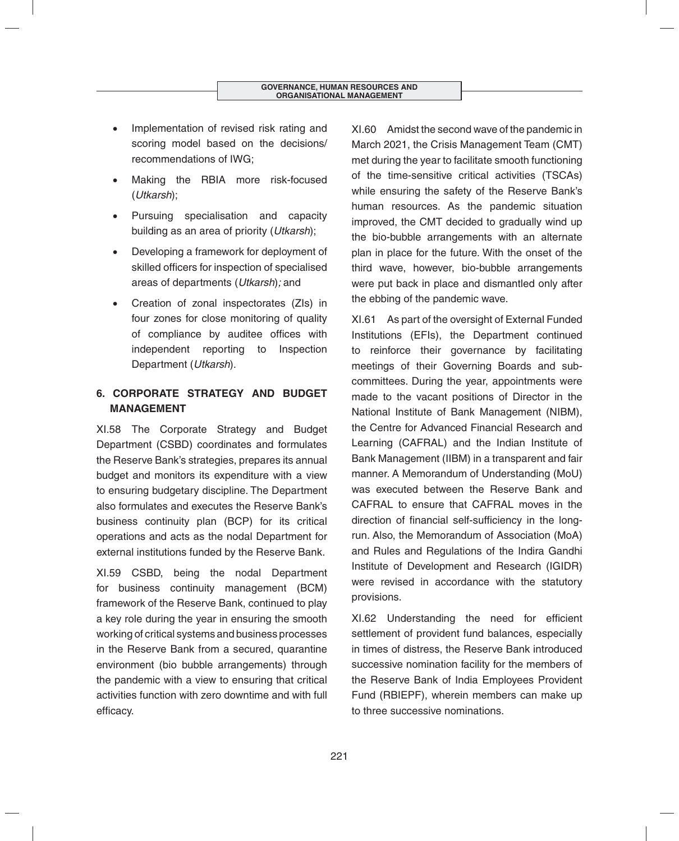- Implementation of revised risk rating and scoring model based on the decisions/ recommendations of IWG;
- Making the RBIA more risk-focused (*Utkarsh*);
- Pursuing specialisation and capacity building as an area of priority (*Utkarsh*);
- Developing a framework for deployment of skilled officers for inspection of specialised areas of departments (*Utkarsh*)*;* and
- Creation of zonal inspectorates (ZIs) in four zones for close monitoring of quality of compliance by auditee offices with independent reporting to Inspection Department (*Utkarsh*).

# **6. CORPORATE STRATEGY AND BUDGET MANAGEMENT**

XI.58 The Corporate Strategy and Budget Department (CSBD) coordinates and formulates the Reserve Bank's strategies, prepares its annual budget and monitors its expenditure with a view to ensuring budgetary discipline. The Department also formulates and executes the Reserve Bank's business continuity plan (BCP) for its critical operations and acts as the nodal Department for external institutions funded by the Reserve Bank.

XI.59 CSBD, being the nodal Department for business continuity management (BCM) framework of the Reserve Bank, continued to play a key role during the year in ensuring the smooth working of critical systems and business processes in the Reserve Bank from a secured, quarantine environment (bio bubble arrangements) through the pandemic with a view to ensuring that critical activities function with zero downtime and with full efficacy.

XI.60 Amidst the second wave of the pandemic in March 2021, the Crisis Management Team (CMT) met during the year to facilitate smooth functioning of the time-sensitive critical activities (TSCAs) while ensuring the safety of the Reserve Bank's human resources. As the pandemic situation improved, the CMT decided to gradually wind up the bio-bubble arrangements with an alternate plan in place for the future. With the onset of the third wave, however, bio-bubble arrangements were put back in place and dismantled only after the ebbing of the pandemic wave.

XI.61 As part of the oversight of External Funded Institutions (EFIs), the Department continued to reinforce their governance by facilitating meetings of their Governing Boards and subcommittees. During the year, appointments were made to the vacant positions of Director in the National Institute of Bank Management (NIBM), the Centre for Advanced Financial Research and Learning (CAFRAL) and the Indian Institute of Bank Management (IIBM) in a transparent and fair manner. A Memorandum of Understanding (MoU) was executed between the Reserve Bank and CAFRAL to ensure that CAFRAL moves in the direction of financial self-sufficiency in the longrun. Also, the Memorandum of Association (MoA) and Rules and Regulations of the Indira Gandhi Institute of Development and Research (IGIDR) were revised in accordance with the statutory provisions.

XI.62 Understanding the need for efficient settlement of provident fund balances, especially in times of distress, the Reserve Bank introduced successive nomination facility for the members of the Reserve Bank of India Employees Provident Fund (RBIEPF), wherein members can make up to three successive nominations.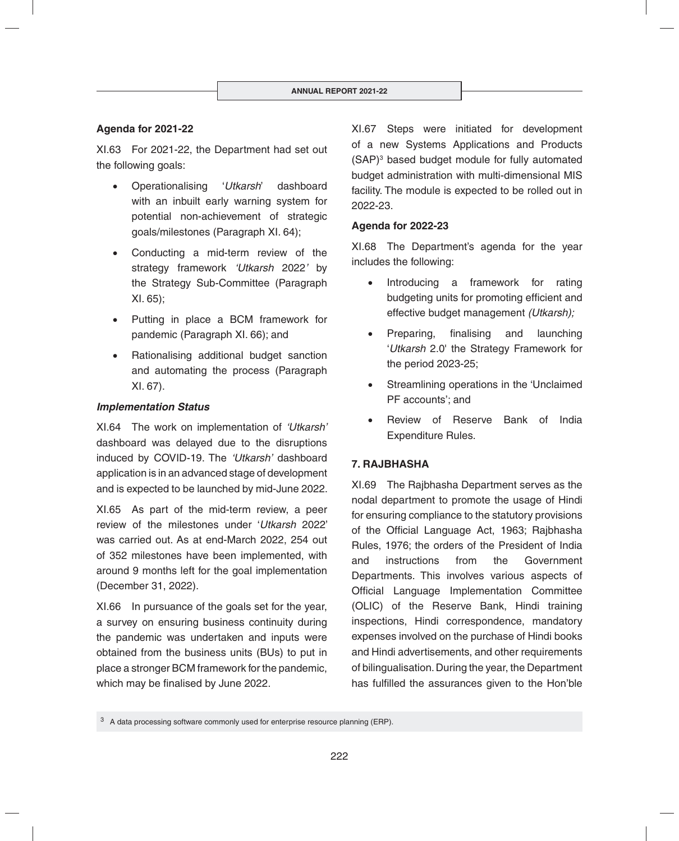# **Agenda for 2021-22**

XI.63 For 2021-22, the Department had set out the following goals:

- Operationalising '*Utkarsh*' dashboard with an inbuilt early warning system for potential non-achievement of strategic goals/milestones (Paragraph XI. 64);
- Conducting a mid-term review of the strategy framework *'Utkarsh* 2022*'* by the Strategy Sub-Committee (Paragraph XI. 65);
- Putting in place a BCM framework for pandemic (Paragraph XI. 66); and
- Rationalising additional budget sanction and automating the process (Paragraph XI. 67).

#### *Implementation Status*

XI.64 The work on implementation of *'Utkarsh'* dashboard was delayed due to the disruptions induced by COVID-19. The *'Utkarsh'* dashboard application is in an advanced stage of development and is expected to be launched by mid-June 2022.

XI.65 As part of the mid-term review, a peer review of the milestones under '*Utkarsh* 2022' was carried out. As at end-March 2022, 254 out of 352 milestones have been implemented, with around 9 months left for the goal implementation (December 31, 2022).

XI.66 In pursuance of the goals set for the year, a survey on ensuring business continuity during the pandemic was undertaken and inputs were obtained from the business units (BUs) to put in place a stronger BCM framework for the pandemic, which may be finalised by June 2022.

XI.67 Steps were initiated for development of a new Systems Applications and Products (SAP)3 based budget module for fully automated budget administration with multi-dimensional MIS facility. The module is expected to be rolled out in 2022-23.

#### **Agenda for 2022-23**

XI.68 The Department's agenda for the year includes the following:

- Introducing a framework for rating budgeting units for promoting efficient and effective budget management *(Utkarsh);*
- Preparing, finalising and launching '*Utkarsh* 2.0' the Strategy Framework for the period 2023-25;
- Streamlining operations in the 'Unclaimed PF accounts'; and
- Review of Reserve Bank of India Expenditure Rules.

## **7. RAJBHASHA**

XI.69 The Rajbhasha Department serves as the nodal department to promote the usage of Hindi for ensuring compliance to the statutory provisions of the Official Language Act, 1963; Rajbhasha Rules, 1976; the orders of the President of India and instructions from the Government Departments. This involves various aspects of Official Language Implementation Committee (OLIC) of the Reserve Bank, Hindi training inspections, Hindi correspondence, mandatory expenses involved on the purchase of Hindi books and Hindi advertisements, and other requirements of bilingualisation. During the year, the Department has fulfilled the assurances given to the Hon'ble

 $3\,$  A data processing software commonly used for enterprise resource planning (ERP).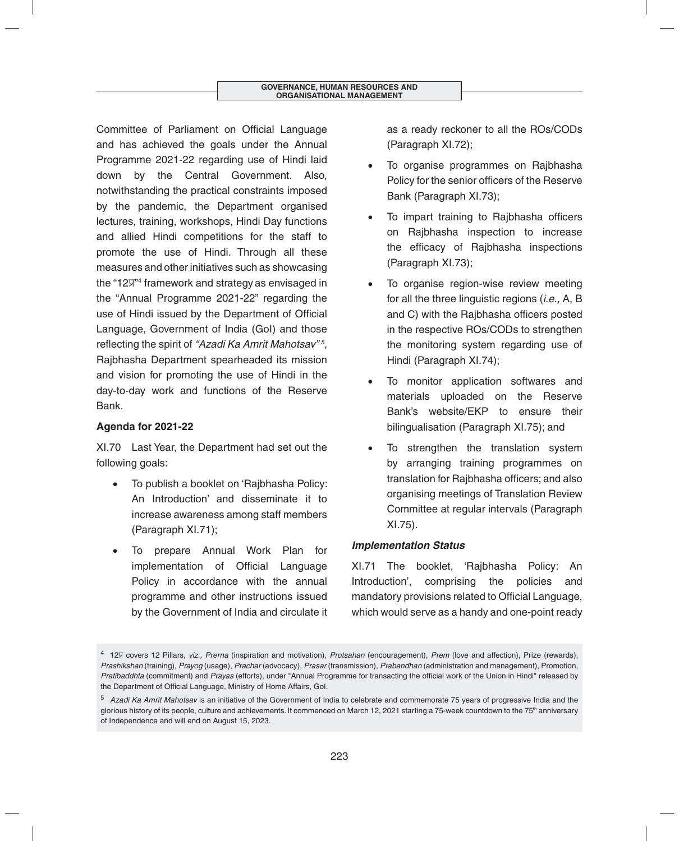Committee of Parliament on Official Language and has achieved the goals under the Annual Programme 2021-22 regarding use of Hindi laid down by the Central Government. Also, notwithstanding the practical constraints imposed by the pandemic, the Department organised lectures, training, workshops, Hindi Day functions and allied Hindi competitions for the staff to promote the use of Hindi. Through all these measures and other initiatives such as showcasing the "12ÿ" 4 framework and strategy as envisaged in the "Annual Programme 2021-22" regarding the use of Hindi issued by the Department of Official Language, Government of India (GoI) and those reflecting the spirit of *"Azadi Ka Amrit Mahotsav" 5 ,*  Rajbhasha Department spearheaded its mission and vision for promoting the use of Hindi in the day-to-day work and functions of the Reserve Bank.

# **Agenda for 2021-22**

XI.70 Last Year, the Department had set out the following goals:

- To publish a booklet on 'Rajbhasha Policy: An Introduction' and disseminate it to increase awareness among staff members (Paragraph XI.71);
- To prepare Annual Work Plan for implementation of Official Language Policy in accordance with the annual programme and other instructions issued by the Government of India and circulate it

as a ready reckoner to all the ROs/CODs (Paragraph XI.72);

- To organise programmes on Rajbhasha Policy for the senior officers of the Reserve Bank (Paragraph XI.73);
- To impart training to Rajbhasha officers on Rajbhasha inspection to increase the efficacy of Rajbhasha inspections (Paragraph XI.73);
- To organise region-wise review meeting for all the three linguistic regions (*i.e.,* A, B and C) with the Raibhasha officers posted in the respective ROs/CODs to strengthen the monitoring system regarding use of Hindi (Paragraph XI.74);
- To monitor application softwares and materials uploaded on the Reserve Bank's website/EKP to ensure their bilingualisation (Paragraph XI.75); and
- To strengthen the translation system by arranging training programmes on translation for Rajbhasha officers; and also organising meetings of Translation Review Committee at regular intervals (Paragraph XI.75).

## *Implementation Status*

XI.71 The booklet, 'Rajbhasha Policy: An Introduction', comprising the policies and mandatory provisions related to Official Language, which would serve as a handy and one-point ready

<sup>4 12</sup>ÿ covers 12 Pillars, *viz., Prerna* (inspiration and motivation), *Protsahan* (encouragement), *Prem* (love and affection), Prize (rewards), *Prashikshan* (training), *Prayog* (usage), *Prachar* (advocacy), *Prasar* (transmission), *Prabandhan* (administration and management), Promotion, *Pratibaddhta* (commitment) and *Prayas* (efforts), under "Annual Programme for transacting the official work of the Union in Hindi" released by the Department of Official Language, Ministry of Home Affairs, GoI.

<sup>5</sup>*Azadi Ka Amrit Mahotsav* is an initiative of the Government of India to celebrate and commemorate 75 years of progressive India and the glorious history of its people, culture and achievements. It commenced on March 12, 2021 starting a 75-week countdown to the 75<sup>th</sup> anniversary of Independence and will end on August 15, 2023.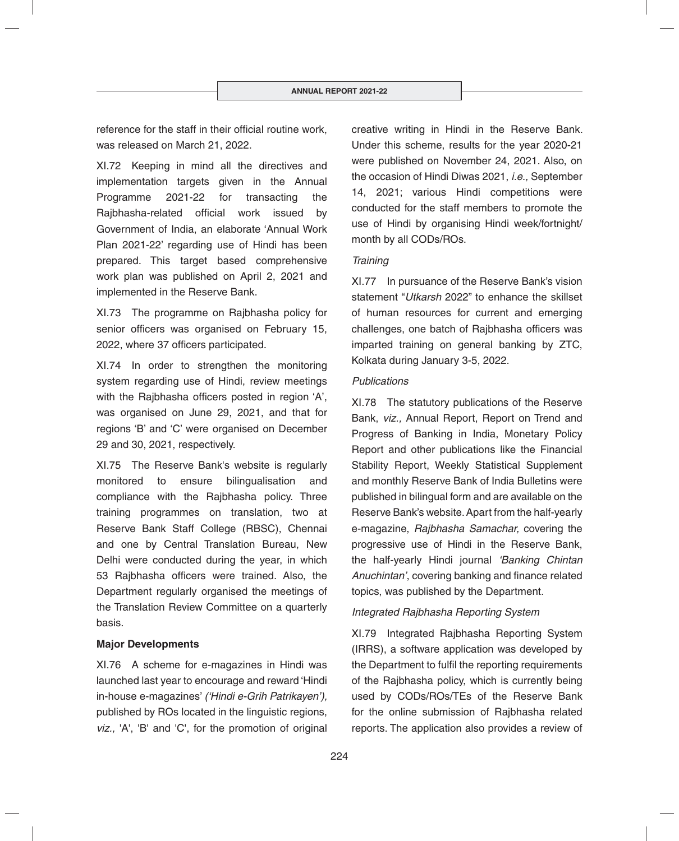reference for the staff in their official routine work, was released on March 21, 2022.

XI.72 Keeping in mind all the directives and implementation targets given in the Annual Programme 2021-22 for transacting the Rajbhasha-related official work issued by Government of India, an elaborate 'Annual Work Plan 2021-22' regarding use of Hindi has been prepared. This target based comprehensive work plan was published on April 2, 2021 and implemented in the Reserve Bank.

XI.73 The programme on Rajbhasha policy for senior officers was organised on February 15, 2022, where 37 officers participated.

XI.74 In order to strengthen the monitoring system regarding use of Hindi, review meetings with the Rajbhasha officers posted in region 'A', was organised on June 29, 2021, and that for regions 'B' and 'C' were organised on December 29 and 30, 2021, respectively.

XI.75 The Reserve Bank's website is regularly monitored to ensure bilingualisation and compliance with the Rajbhasha policy. Three training programmes on translation, two at Reserve Bank Staff College (RBSC), Chennai and one by Central Translation Bureau, New Delhi were conducted during the year, in which 53 Rajbhasha officers were trained. Also, the Department regularly organised the meetings of the Translation Review Committee on a quarterly basis.

## **Major Developments**

XI.76 A scheme for e-magazines in Hindi was launched last year to encourage and reward 'Hindi in-house e-magazines' *('Hindi e-Grih Patrikayen'),* published by ROs located in the linguistic regions, *viz.,* 'A', 'B' and 'C', for the promotion of original creative writing in Hindi in the Reserve Bank. Under this scheme, results for the year 2020-21 were published on November 24, 2021. Also, on the occasion of Hindi Diwas 2021, *i.e.,* September 14, 2021; various Hindi competitions were conducted for the staff members to promote the use of Hindi by organising Hindi week/fortnight/ month by all CODs/ROs.

## *Training*

XI.77 In pursuance of the Reserve Bank's vision statement "*Utkarsh* 2022" to enhance the skillset of human resources for current and emerging challenges, one batch of Rajbhasha officers was imparted training on general banking by ZTC, Kolkata during January 3-5, 2022.

## *Publications*

XI.78 The statutory publications of the Reserve Bank, *viz.,* Annual Report, Report on Trend and Progress of Banking in India, Monetary Policy Report and other publications like the Financial Stability Report, Weekly Statistical Supplement and monthly Reserve Bank of India Bulletins were published in bilingual form and are available on the Reserve Bank's website. Apart from the half-yearly e-magazine, *Rajbhasha Samachar,* covering the progressive use of Hindi in the Reserve Bank, the half-yearly Hindi journal *'Banking Chintan Anuchintan'*, covering banking and finance related topics, was published by the Department.

# *Integrated Rajbhasha Reporting System*

XI.79 Integrated Rajbhasha Reporting System (IRRS), a software application was developed by the Department to fulfil the reporting requirements of the Rajbhasha policy, which is currently being used by CODs/ROs/TEs of the Reserve Bank for the online submission of Rajbhasha related reports. The application also provides a review of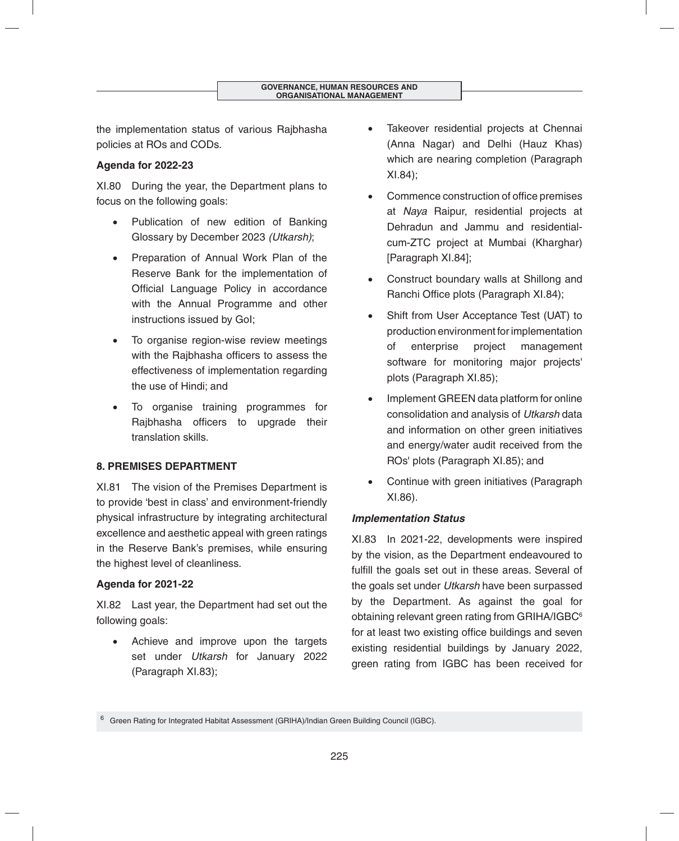the implementation status of various Rajbhasha policies at ROs and CODs.

# **Agenda for 2022-23**

XI.80 During the year, the Department plans to focus on the following goals:

- Publication of new edition of Banking Glossary by December 2023 *(Utkarsh)*;
- Preparation of Annual Work Plan of the Reserve Bank for the implementation of Official Language Policy in accordance with the Annual Programme and other instructions issued by GoI;
- To organise region-wise review meetings with the Rajbhasha officers to assess the effectiveness of implementation regarding the use of Hindi; and
- To organise training programmes for Rajbhasha officers to upgrade their translation skills.

# **8. PREMISES DEPARTMENT**

XI.81 The vision of the Premises Department is to provide 'best in class' and environment-friendly physical infrastructure by integrating architectural excellence and aesthetic appeal with green ratings in the Reserve Bank's premises, while ensuring the highest level of cleanliness.

# **Agenda for 2021-22**

XI.82 Last year, the Department had set out the following goals:

 Achieve and improve upon the targets set under *Utkarsh* for January 2022 (Paragraph XI.83);

- Takeover residential projects at Chennai (Anna Nagar) and Delhi (Hauz Khas) which are nearing completion (Paragraph XI.84);
- Commence construction of office premises at *Naya* Raipur, residential projects at Dehradun and Jammu and residentialcum-ZTC project at Mumbai (Kharghar) [Paragraph XI.84];
- Construct boundary walls at Shillong and Ranchi Office plots (Paragraph XI.84);
- Shift from User Acceptance Test (UAT) to production environment for implementation of enterprise project management software for monitoring major projects' plots (Paragraph XI.85);
- Implement GREEN data platform for online consolidation and analysis of *Utkarsh* data and information on other green initiatives and energy/water audit received from the ROs' plots (Paragraph XI.85); and
- Continue with green initiatives (Paragraph XI.86).

# *Implementation Status*

XI.83 In 2021-22, developments were inspired by the vision, as the Department endeavoured to fulfill the goals set out in these areas. Several of the goals set under *Utkarsh* have been surpassed by the Department. As against the goal for obtaining relevant green rating from GRIHA/IGBC<sup>6</sup> for at least two existing office buildings and seven existing residential buildings by January 2022, green rating from IGBC has been received for

<sup>&</sup>lt;sup>6</sup> Green Rating for Integrated Habitat Assessment (GRIHA)/Indian Green Building Council (IGBC).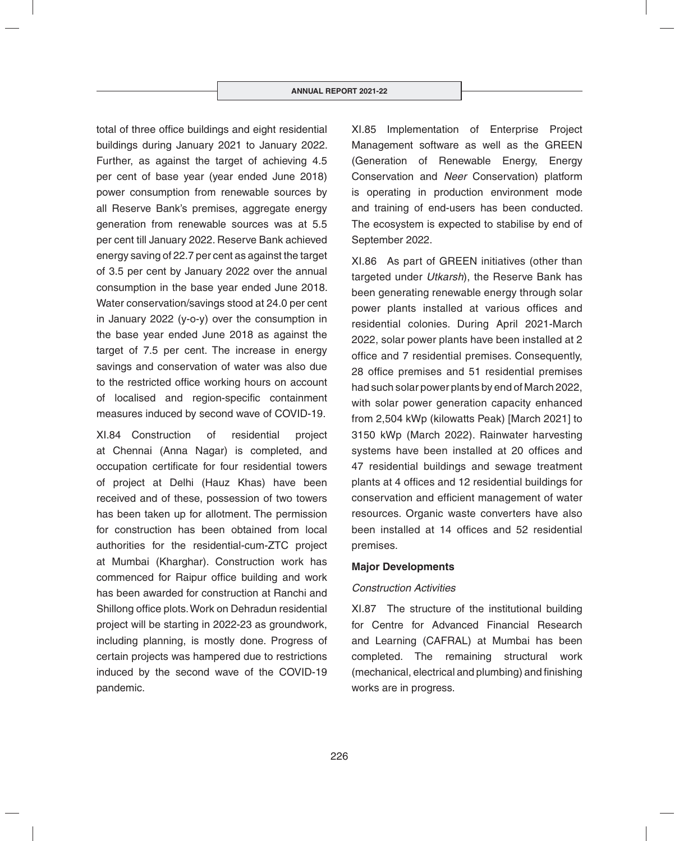total of three office buildings and eight residential buildings during January 2021 to January 2022. Further, as against the target of achieving 4.5 per cent of base year (year ended June 2018) power consumption from renewable sources by all Reserve Bank's premises, aggregate energy generation from renewable sources was at 5.5 per cent till January 2022. Reserve Bank achieved energy saving of 22.7 per cent as against the target of 3.5 per cent by January 2022 over the annual consumption in the base year ended June 2018. Water conservation/savings stood at 24.0 per cent in January 2022 (y-o-y) over the consumption in the base year ended June 2018 as against the target of 7.5 per cent. The increase in energy savings and conservation of water was also due to the restricted office working hours on account of localised and region-specific containment measures induced by second wave of COVID-19.

XI.84 Construction of residential project at Chennai (Anna Nagar) is completed, and occupation certificate for four residential towers of project at Delhi (Hauz Khas) have been received and of these, possession of two towers has been taken up for allotment. The permission for construction has been obtained from local authorities for the residential-cum-ZTC project at Mumbai (Kharghar). Construction work has commenced for Raipur office building and work has been awarded for construction at Ranchi and Shillong office plots. Work on Dehradun residential project will be starting in 2022-23 as groundwork, including planning, is mostly done. Progress of certain projects was hampered due to restrictions induced by the second wave of the COVID-19 pandemic.

XI.85 Implementation of Enterprise Project Management software as well as the GREEN (Generation of Renewable Energy, Energy Conservation and *Neer* Conservation) platform is operating in production environment mode and training of end-users has been conducted. The ecosystem is expected to stabilise by end of September 2022.

XI.86 As part of GREEN initiatives (other than targeted under *Utkarsh*), the Reserve Bank has been generating renewable energy through solar power plants installed at various offices and residential colonies. During April 2021-March 2022, solar power plants have been installed at 2 office and 7 residential premises. Consequently, 28 office premises and 51 residential premises had such solar power plants by end of March 2022, with solar power generation capacity enhanced from 2,504 kWp (kilowatts Peak) [March 2021] to 3150 kWp (March 2022). Rainwater harvesting systems have been installed at 20 offices and 47 residential buildings and sewage treatment plants at 4 offices and 12 residential buildings for conservation and efficient management of water resources. Organic waste converters have also been installed at 14 offices and 52 residential premises.

#### **Major Developments**

#### *Construction Activities*

XI.87 The structure of the institutional building for Centre for Advanced Financial Research and Learning (CAFRAL) at Mumbai has been completed. The remaining structural work (mechanical, electrical and plumbing) and finishing works are in progress.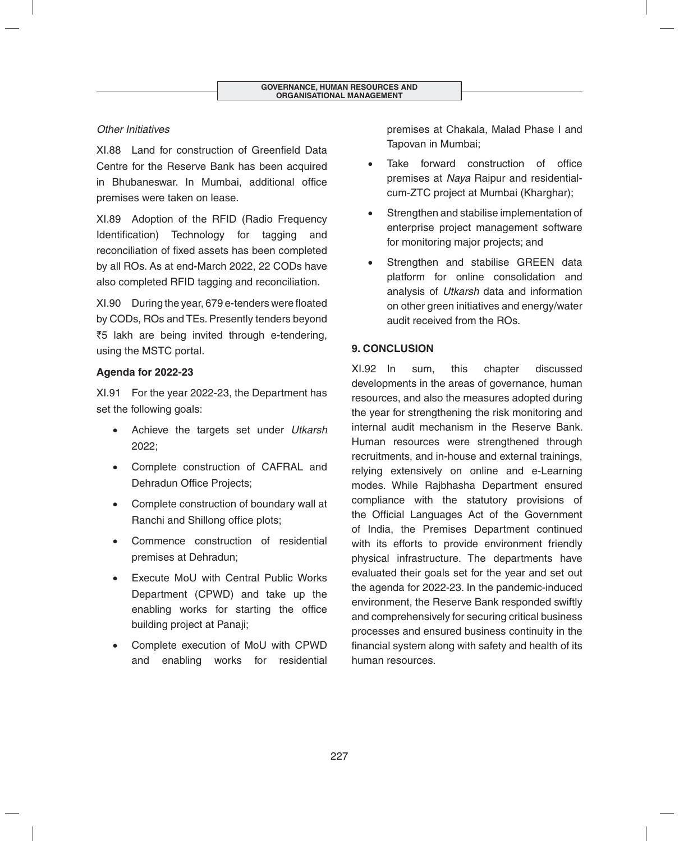# *Other Initiatives*

XL88 Land for construction of Greenfield Data Centre for the Reserve Bank has been acquired in Bhubaneswar. In Mumbai, additional office premises were taken on lease.

XI.89 Adoption of the RFID (Radio Frequency Identification) Technology for tagging and reconciliation of fixed assets has been completed by all ROs. As at end-March 2022, 22 CODs have also completed RFID tagging and reconciliation.

XI.90 During the year, 679 e-tenders were floated by CODs, ROs and TEs. Presently tenders beyond ₹5 lakh are being invited through e-tendering, using the MSTC portal.

# **Agenda for 2022-23**

XI.91 For the year 2022-23, the Department has set the following goals:

- Achieve the targets set under *Utkarsh* 2022;
- Complete construction of CAFRAL and Dehradun Office Projects;
- Complete construction of boundary wall at Ranchi and Shillong office plots;
- Commence construction of residential premises at Dehradun;
- Execute MoU with Central Public Works Department (CPWD) and take up the enabling works for starting the office building project at Panaji;
- Complete execution of MoU with CPWD and enabling works for residential

premises at Chakala, Malad Phase I and Tapovan in Mumbai;

- Take forward construction of office premises at *Naya* Raipur and residentialcum-ZTC project at Mumbai (Kharghar);
- Strengthen and stabilise implementation of enterprise project management software for monitoring major projects; and
- Strengthen and stabilise GREEN data platform for online consolidation and analysis of *Utkarsh* data and information on other green initiatives and energy/water audit received from the ROs.

# **9. CONCLUSION**

XI.92 In sum, this chapter discussed developments in the areas of governance, human resources, and also the measures adopted during the year for strengthening the risk monitoring and internal audit mechanism in the Reserve Bank. Human resources were strengthened through recruitments, and in-house and external trainings, relying extensively on online and e-Learning modes. While Rajbhasha Department ensured compliance with the statutory provisions of the Official Languages Act of the Government of India, the Premises Department continued with its efforts to provide environment friendly physical infrastructure. The departments have evaluated their goals set for the year and set out the agenda for 2022-23. In the pandemic-induced environment, the Reserve Bank responded swiftly and comprehensively for securing critical business processes and ensured business continuity in the financial system along with safety and health of its human resources.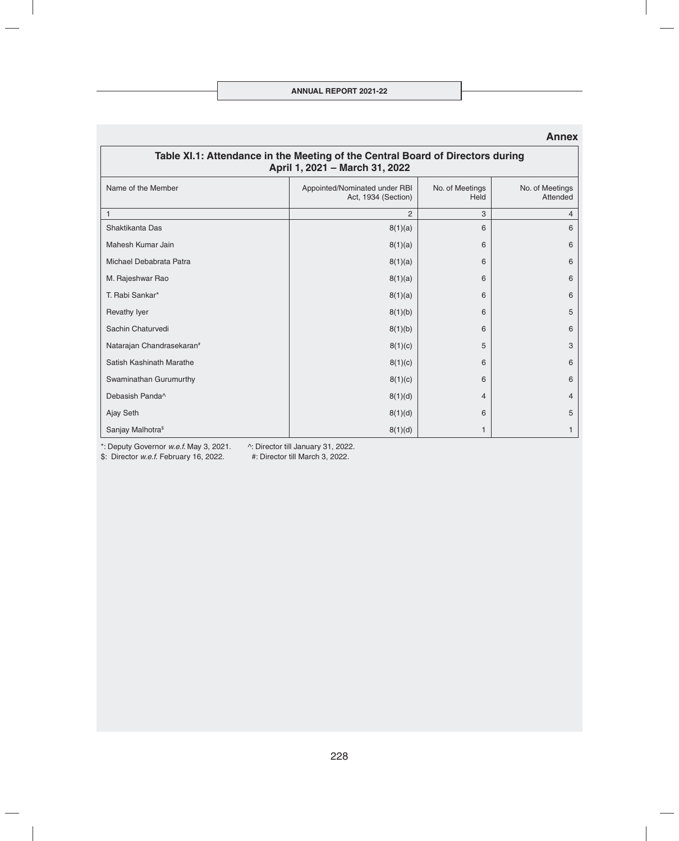| Table XI.1: Attendance in the Meeting of the Central Board of Directors during<br>April 1, 2021 - March 31, 2022 |                                                      |                         |                             |  |  |
|------------------------------------------------------------------------------------------------------------------|------------------------------------------------------|-------------------------|-----------------------------|--|--|
| Name of the Member                                                                                               | Appointed/Nominated under RBI<br>Act, 1934 (Section) | No. of Meetings<br>Held | No. of Meetings<br>Attended |  |  |
|                                                                                                                  | $\overline{2}$                                       | 3                       | 4                           |  |  |
| Shaktikanta Das                                                                                                  | 8(1)(a)                                              | 6                       | 6                           |  |  |
| Mahesh Kumar Jain                                                                                                | 8(1)(a)                                              | 6                       | 6                           |  |  |
| Michael Debabrata Patra                                                                                          | 8(1)(a)                                              | 6                       | 6                           |  |  |
| M. Rajeshwar Rao                                                                                                 | 8(1)(a)                                              | 6                       | 6                           |  |  |
| T. Rabi Sankar*                                                                                                  | 8(1)(a)                                              | 6                       | 6                           |  |  |
| <b>Revathy Iyer</b>                                                                                              | 8(1)(b)                                              | 6                       | 5                           |  |  |
| Sachin Chaturvedi                                                                                                | 8(1)(b)                                              | 6                       | 6                           |  |  |
| Natarajan Chandrasekaran <sup>#</sup>                                                                            | 8(1)(c)                                              | 5                       | 3                           |  |  |
| Satish Kashinath Marathe                                                                                         | 8(1)(c)                                              | 6                       | 6                           |  |  |
| Swaminathan Gurumurthy                                                                                           | 8(1)(c)                                              | 6                       | 6                           |  |  |
| Debasish Panda^                                                                                                  | 8(1)(d)                                              | 4                       | 4                           |  |  |
| Ajay Seth                                                                                                        | 8(1)(d)                                              | 6                       | 5                           |  |  |
| Sanjay Malhotra <sup>\$</sup>                                                                                    | 8(1)(d)                                              | 1                       | 1                           |  |  |

#### **Annex**

\*: Deputy Governor *w.e.f.* May 3, 2021. ^: Director till January 31, 2022.

\$: Director *w.e.f.* February 16, 2022.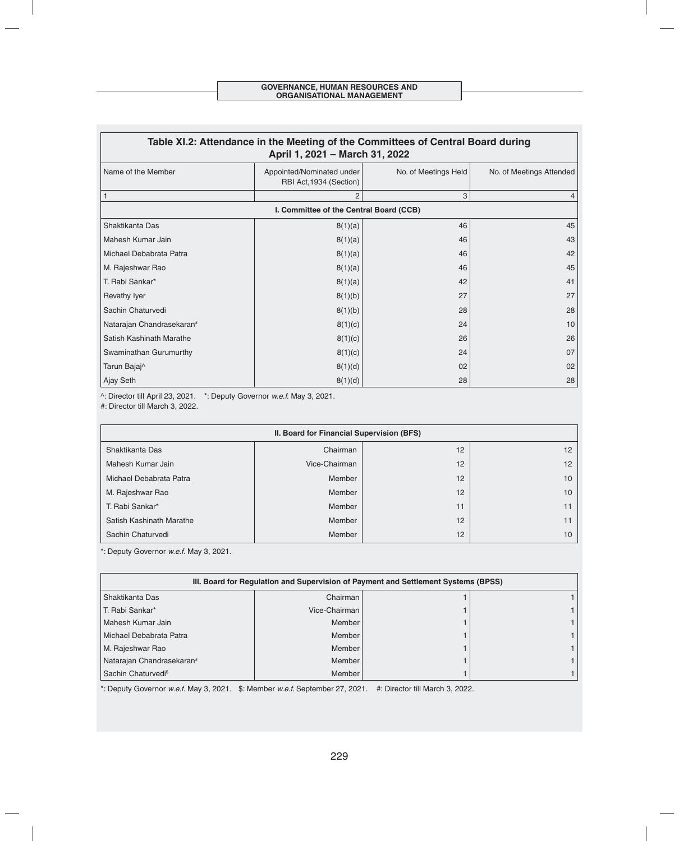| Table XI.2: Attendance in the Meeting of the Committees of Central Board during<br>April 1, 2021 - March 31, 2022 |                                                      |                      |                          |  |  |
|-------------------------------------------------------------------------------------------------------------------|------------------------------------------------------|----------------------|--------------------------|--|--|
| Name of the Member                                                                                                | Appointed/Nominated under<br>RBI Act, 1934 (Section) | No. of Meetings Held | No. of Meetings Attended |  |  |
|                                                                                                                   | $\overline{2}$                                       | 3                    |                          |  |  |
|                                                                                                                   | I. Committee of the Central Board (CCB)              |                      |                          |  |  |
| Shaktikanta Das                                                                                                   | 8(1)(a)                                              | 46                   | 45                       |  |  |
| Mahesh Kumar Jain                                                                                                 | 8(1)(a)                                              | 46                   | 43                       |  |  |
| Michael Debabrata Patra                                                                                           | 8(1)(a)                                              | 46                   | 42                       |  |  |
| M. Rajeshwar Rao                                                                                                  | 8(1)(a)                                              | 46                   | 45                       |  |  |
| T. Rabi Sankar*                                                                                                   | 8(1)(a)                                              | 42                   | 41                       |  |  |
| Revathy Iyer                                                                                                      | 8(1)(b)                                              | 27                   | 27                       |  |  |
| Sachin Chaturvedi                                                                                                 | 8(1)(b)                                              | 28                   | 28                       |  |  |
| Natarajan Chandrasekaran#                                                                                         | 8(1)(c)                                              | 24                   | 10                       |  |  |
| Satish Kashinath Marathe                                                                                          | 8(1)(c)                                              | 26                   | 26                       |  |  |
| Swaminathan Gurumurthy                                                                                            | 8(1)(c)                                              | 24                   | 07                       |  |  |
| Tarun Bajaj^                                                                                                      | 8(1)(d)                                              | 02                   | 02                       |  |  |
| Ajay Seth                                                                                                         | 8(1)(d)                                              | 28                   | 28                       |  |  |

^: Director till April 23, 2021. \*: Deputy Governor *w.e.f.* May 3, 2021.

#: Director till March 3, 2022.

| II. Board for Financial Supervision (BFS) |               |    |                 |  |  |
|-------------------------------------------|---------------|----|-----------------|--|--|
| Shaktikanta Das                           | Chairman      | 12 | 12 <sup>°</sup> |  |  |
| Mahesh Kumar Jain                         | Vice-Chairman | 12 | 12              |  |  |
| Michael Debabrata Patra                   | Member        | 12 | 10 <sup>1</sup> |  |  |
| M. Rajeshwar Rao                          | Member        | 12 | 10              |  |  |
| T. Rabi Sankar*                           | Member        | 11 |                 |  |  |
| Satish Kashinath Marathe                  | Member        | 12 |                 |  |  |
| Sachin Chaturvedi                         | Member        | 12 | 10              |  |  |

\*: Deputy Governor *w.e.f.* May 3, 2021.

| III. Board for Regulation and Supervision of Payment and Settlement Systems (BPSS) |               |  |  |  |  |
|------------------------------------------------------------------------------------|---------------|--|--|--|--|
| Shaktikanta Das                                                                    | Chairman      |  |  |  |  |
| T. Rabi Sankar*                                                                    | Vice-Chairman |  |  |  |  |
| Mahesh Kumar Jain                                                                  | Member        |  |  |  |  |
| Michael Debabrata Patra                                                            | Member        |  |  |  |  |
| M. Rajeshwar Rao                                                                   | Member        |  |  |  |  |
| Natarajan Chandrasekaran#                                                          | Member        |  |  |  |  |
| Sachin Chaturvedi <sup>\$</sup>                                                    | Member        |  |  |  |  |

\*: Deputy Governor *w.e.f.* May 3, 2021. \$: Member *w.e.f.* September 27, 2021. #: Director till March 3, 2022.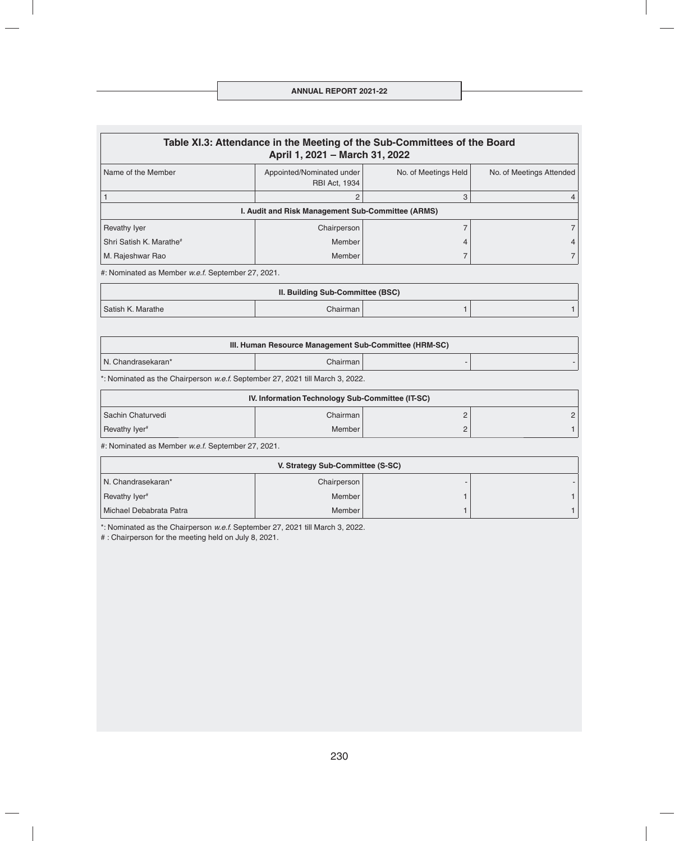#### **ANNUAL REPORT 2021-22**

| Table XI.3: Attendance in the Meeting of the Sub-Committees of the Board<br>April 1, 2021 - March 31, 2022                  |                                                   |  |  |  |  |  |
|-----------------------------------------------------------------------------------------------------------------------------|---------------------------------------------------|--|--|--|--|--|
| Name of the Member<br>Appointed/Nominated under<br>No. of Meetings Held<br>No. of Meetings Attended<br><b>RBI Act, 1934</b> |                                                   |  |  |  |  |  |
|                                                                                                                             |                                                   |  |  |  |  |  |
|                                                                                                                             | I. Audit and Risk Management Sub-Committee (ARMS) |  |  |  |  |  |
| Revathy Iyer                                                                                                                | Chairperson                                       |  |  |  |  |  |
| Shri Satish K. Marathe <sup>#</sup>                                                                                         | Member                                            |  |  |  |  |  |
| M. Rajeshwar Rao                                                                                                            | Member                                            |  |  |  |  |  |
| the Nominated as Mombor waf Sontambor 27, 2021                                                                              |                                                   |  |  |  |  |  |

#: Nominated as Member *w.e.f.* September 27, 2021.

| II. Building Sub-Committee (BSC) |            |  |  |  |  |
|----------------------------------|------------|--|--|--|--|
| Satish K. Marathe                | Chairman I |  |  |  |  |

| III. Human Resource Management Sub-Committee (HRM-SC) |            |  |  |
|-------------------------------------------------------|------------|--|--|
| N. Chandrasekaran*                                    | Chairman I |  |  |

\*: Nominated as the Chairperson *w.e.f.* September 27, 2021 till March 3, 2022.

| IV. Information Technology Sub-Committee (IT-SC) |            |  |  |
|--------------------------------------------------|------------|--|--|
| Sachin Chaturvedi                                | Chairman l |  |  |
| Revathy Iver#                                    | Member     |  |  |

#: Nominated as Member *w.e.f.* September 27, 2021.

| V. Strategy Sub-Committee (S-SC) |             |  |  |
|----------------------------------|-------------|--|--|
| N. Chandrasekaran*               | Chairperson |  |  |
| Revathy Iyer <sup>#</sup>        | Member      |  |  |
| Michael Debabrata Patra          | Member      |  |  |

\*: Nominated as the Chairperson *w.e.f.* September 27, 2021 till March 3, 2022.

# : Chairperson for the meeting held on July 8, 2021.